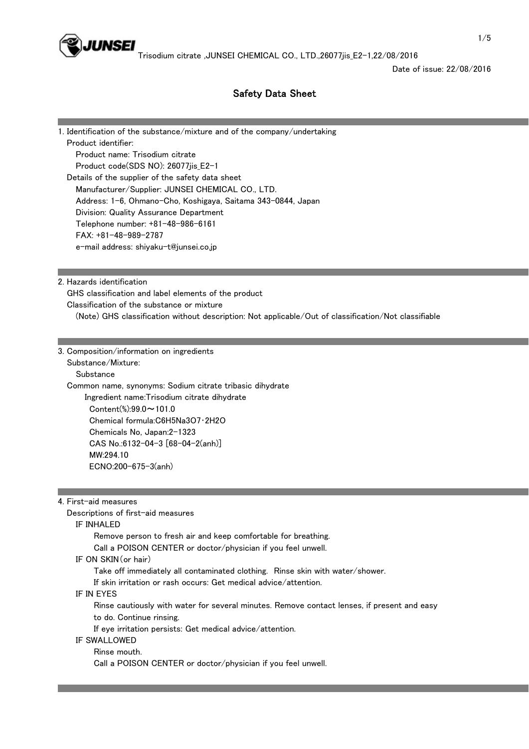

Date of issue: 22/08/2016

# Safety Data Sheet

1. Identification of the substance/mixture and of the company/undertaking Product identifier: Product name: Trisodium citrate Product code(SDS NO): 26077jis\_E2-1 Details of the supplier of the safety data sheet Manufacturer/Supplier: JUNSEI CHEMICAL CO., LTD. Address: 1-6, Ohmano-Cho, Koshigaya, Saitama 343-0844, Japan Division: Quality Assurance Department Telephone number: +81-48-986-6161 FAX: +81-48-989-2787 e-mail address: shiyaku-t@junsei.co.jp

2. Hazards identification

 GHS classification and label elements of the product Classification of the substance or mixture (Note) GHS classification without description: Not applicable/Out of classification/Not classifiable

3. Composition/information on ingredients

Substance/Mixture:

Substance

 Common name, synonyms: Sodium citrate tribasic dihydrate Ingredient name:Trisodium citrate dihydrate Content(%):99.0~101.0 Chemical formula:C6H5Na3O7・2H2O Chemicals No, Japan:2-1323 CAS No.:6132-04-3 [68-04-2(anh)] MW:294.10 ECNO:200-675-3(anh)

4. First-aid measures

Descriptions of first-aid measures

#### IF INHALED

Remove person to fresh air and keep comfortable for breathing.

Call a POISON CENTER or doctor/physician if you feel unwell.

#### IF ON SKIN(or hair)

Take off immediately all contaminated clothing. Rinse skin with water/shower.

If skin irritation or rash occurs: Get medical advice/attention.

### IF IN EYES

 Rinse cautiously with water for several minutes. Remove contact lenses, if present and easy to do. Continue rinsing.

If eye irritation persists: Get medical advice/attention.

# IF SWALLOWED

Rinse mouth.

Call a POISON CENTER or doctor/physician if you feel unwell.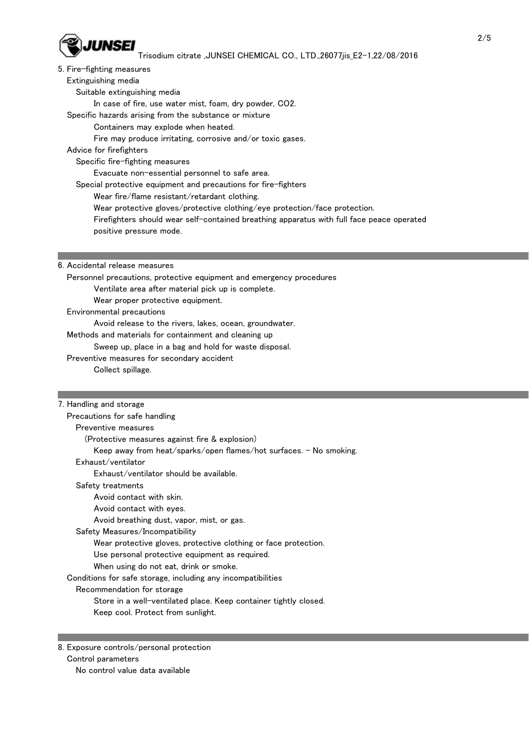

#### 5. Fire-fighting measures

Extinguishing media

Suitable extinguishing media

In case of fire, use water mist, foam, dry powder, CO2.

Specific hazards arising from the substance or mixture

Containers may explode when heated.

Fire may produce irritating, corrosive and/or toxic gases.

Advice for firefighters

Specific fire-fighting measures

Evacuate non-essential personnel to safe area.

Special protective equipment and precautions for fire-fighters

Wear fire/flame resistant/retardant clothing.

Wear protective gloves/protective clothing/eye protection/face protection.

Firefighters should wear self-contained breathing apparatus with full face peace operated

positive pressure mode.

### 6. Accidental release measures

 Personnel precautions, protective equipment and emergency procedures Ventilate area after material pick up is complete. Wear proper protective equipment.

Environmental precautions

Avoid release to the rivers, lakes, ocean, groundwater.

Methods and materials for containment and cleaning up

Sweep up, place in a bag and hold for waste disposal.

Preventive measures for secondary accident

Collect spillage.

## 7. Handling and storage

 Precautions for safe handling Preventive measures (Protective measures against fire & explosion) Keep away from heat/sparks/open flames/hot surfaces. - No smoking. Exhaust/ventilator Exhaust/ventilator should be available. Safety treatments Avoid contact with skin. Avoid contact with eyes. Avoid breathing dust, vapor, mist, or gas. Safety Measures/Incompatibility Wear protective gloves, protective clothing or face protection. Use personal protective equipment as required. When using do not eat, drink or smoke. Conditions for safe storage, including any incompatibilities Recommendation for storage Store in a well-ventilated place. Keep container tightly closed. Keep cool. Protect from sunlight.

8. Exposure controls/personal protection Control parameters

No control value data available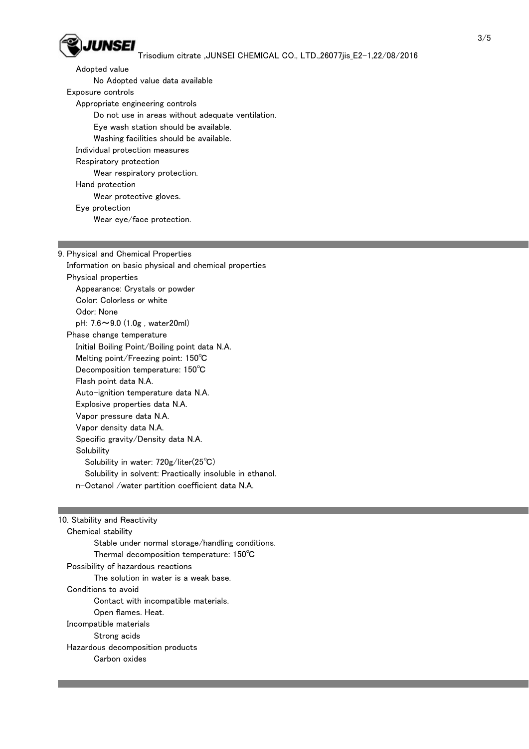

 Adopted value No Adopted value data available Exposure controls Appropriate engineering controls Do not use in areas without adequate ventilation. Eye wash station should be available. Washing facilities should be available. Individual protection measures Respiratory protection Wear respiratory protection. Hand protection Wear protective gloves. Eye protection Wear eye/face protection.

9. Physical and Chemical Properties Information on basic physical and chemical properties Physical properties Appearance: Crystals or powder Color: Colorless or white Odor: None pH: 7.6~9.0 (1.0g , water20ml) Phase change temperature Initial Boiling Point/Boiling point data N.A. Melting point/Freezing point: 150℃ Decomposition temperature: 150℃ Flash point data N.A. Auto-ignition temperature data N.A. Explosive properties data N.A. Vapor pressure data N.A. Vapor density data N.A. Specific gravity/Density data N.A. **Solubility**  Solubility in water: 720g/liter(25℃) Solubility in solvent: Practically insoluble in ethanol. n-Octanol /water partition coefficient data N.A.

# 10. Stability and Reactivity Chemical stability Stable under normal storage/handling conditions. Thermal decomposition temperature: 150℃ Possibility of hazardous reactions The solution in water is a weak base. Conditions to avoid Contact with incompatible materials. Open flames. Heat. Incompatible materials Strong acids Hazardous decomposition products Carbon oxides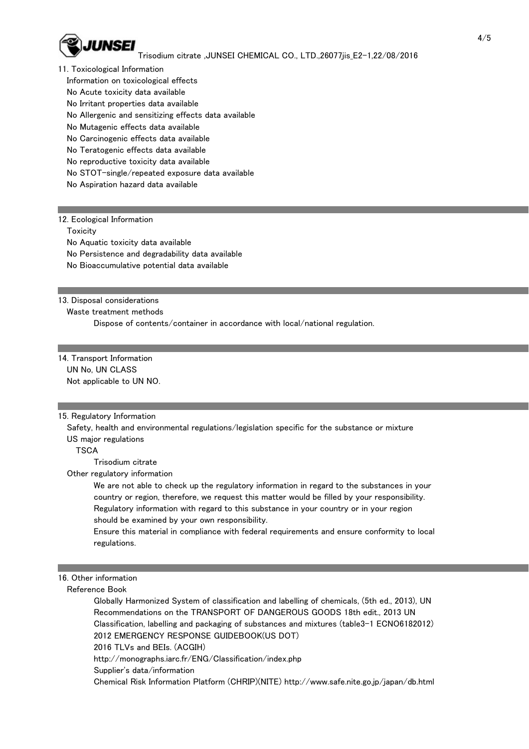

- 11. Toxicological Information
	- Information on toxicological effects
	- No Acute toxicity data available
	- No Irritant properties data available
	- No Allergenic and sensitizing effects data available
	- No Mutagenic effects data available
	- No Carcinogenic effects data available
	- No Teratogenic effects data available
	- No reproductive toxicity data available
	- No STOT-single/repeated exposure data available
	- No Aspiration hazard data available

### 12. Ecological Information

**Toxicity** 

No Aquatic toxicity data available

No Persistence and degradability data available

No Bioaccumulative potential data available

### 13. Disposal considerations

Waste treatment methods

Dispose of contents/container in accordance with local/national regulation.

# 14. Transport Information UN No, UN CLASS

Not applicable to UN NO.

## 15. Regulatory Information

 Safety, health and environmental regulations/legislation specific for the substance or mixture US major regulations

**TSCA** 

Trisodium citrate

Other regulatory information

 We are not able to check up the regulatory information in regard to the substances in your country or region, therefore, we request this matter would be filled by your responsibility. Regulatory information with regard to this substance in your country or in your region should be examined by your own responsibility.

 Ensure this material in compliance with federal requirements and ensure conformity to local regulations.

## 16. Other information

Reference Book

 Globally Harmonized System of classification and labelling of chemicals, (5th ed., 2013), UN Recommendations on the TRANSPORT OF DANGEROUS GOODS 18th edit., 2013 UN Classification, labelling and packaging of substances and mixtures (table3-1 ECNO6182012) 2012 EMERGENCY RESPONSE GUIDEBOOK(US DOT)

2016 TLVs and BEIs. (ACGIH)

http://monographs.iarc.fr/ENG/Classification/index.php

Supplier's data/information

Chemical Risk Information Platform (CHRIP)(NITE) http://www.safe.nite.go.jp/japan/db.html